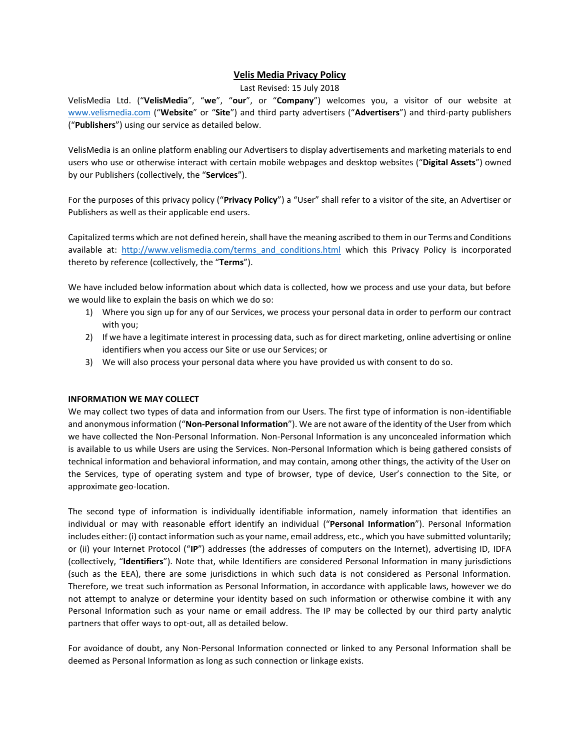# **Velis Media Privacy Policy**

### Last Revised: 15 July 2018

VelisMedia Ltd. ("**VelisMedia**", "**we**", "**our**", or "**Company**") welcomes you, a visitor of our website at [www.velismedia.com](http://www.velismedia.com/) ("**Website**" or "**Site**") and third party advertisers ("**Advertisers**") and third-party publishers ("**Publishers**") using our service as detailed below.

VelisMedia is an online platform enabling our Advertisers to display advertisements and marketing materials to end users who use or otherwise interact with certain mobile webpages and desktop websites ("**Digital Assets**") owned by our Publishers (collectively, the "**Services**").

For the purposes of this privacy policy ("**Privacy Policy**") a "User" shall refer to a visitor of the site, an Advertiser or Publishers as well as their applicable end users.

Capitalized terms which are not defined herein, shall have the meaning ascribed to them in our Terms and Conditions available at: http://www.velismedia.com/terms and conditions.html which this Privacy Policy is incorporated thereto by reference (collectively, the "**Terms**").

We have included below information about which data is collected, how we process and use your data, but before we would like to explain the basis on which we do so:

- 1) Where you sign up for any of our Services, we process your personal data in order to perform our contract with you;
- 2) If we have a legitimate interest in processing data, such as for direct marketing, online advertising or online identifiers when you access our Site or use our Services; or
- 3) We will also process your personal data where you have provided us with consent to do so.

### **INFORMATION WE MAY COLLECT**

We may collect two types of data and information from our Users. The first type of information is non-identifiable and anonymous information ("**Non-Personal Information**"). We are not aware of the identity of the User from which we have collected the Non-Personal Information. Non-Personal Information is any unconcealed information which is available to us while Users are using the Services. Non-Personal Information which is being gathered consists of technical information and behavioral information, and may contain, among other things, the activity of the User on the Services, type of operating system and type of browser, type of device, User's connection to the Site, or approximate geo-location.

The second type of information is individually identifiable information, namely information that identifies an individual or may with reasonable effort identify an individual ("**Personal Information**"). Personal Information includes either: (i) contact information such as your name, email address, etc., which you have submitted voluntarily; or (ii) your Internet Protocol ("**IP**") addresses (the addresses of computers on the Internet), advertising ID, IDFA (collectively, "**Identifiers**"). Note that, while Identifiers are considered Personal Information in many jurisdictions (such as the EEA), there are some jurisdictions in which such data is not considered as Personal Information. Therefore, we treat such information as Personal Information, in accordance with applicable laws, however we do not attempt to analyze or determine your identity based on such information or otherwise combine it with any Personal Information such as your name or email address. The IP may be collected by our third party analytic partners that offer ways to opt-out, all as detailed below.

For avoidance of doubt, any Non-Personal Information connected or linked to any Personal Information shall be deemed as Personal Information as long as such connection or linkage exists.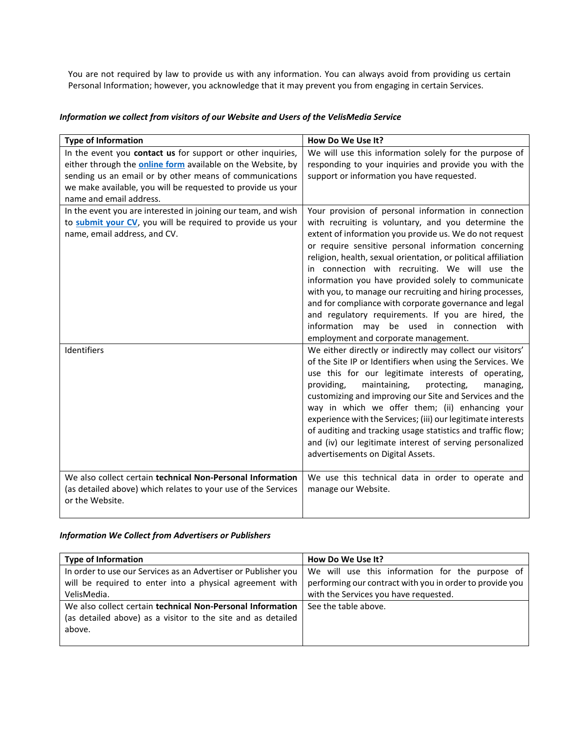You are not required by law to provide us with any information. You can always avoid from providing us certain Personal Information; however, you acknowledge that it may prevent you from engaging in certain Services.

## *Information we collect from visitors of our Website and Users of the VelisMedia Service*

| <b>Type of Information</b>                                                                                                                                                                                                                                                             | How Do We Use It?                                                                                                                                                                                                                                                                                                                                                                                                                                                                                                                                                                                                                                                           |
|----------------------------------------------------------------------------------------------------------------------------------------------------------------------------------------------------------------------------------------------------------------------------------------|-----------------------------------------------------------------------------------------------------------------------------------------------------------------------------------------------------------------------------------------------------------------------------------------------------------------------------------------------------------------------------------------------------------------------------------------------------------------------------------------------------------------------------------------------------------------------------------------------------------------------------------------------------------------------------|
| In the event you contact us for support or other inquiries,<br>either through the <b>online form</b> available on the Website, by<br>sending us an email or by other means of communications<br>we make available, you will be requested to provide us your<br>name and email address. | We will use this information solely for the purpose of<br>responding to your inquiries and provide you with the<br>support or information you have requested.                                                                                                                                                                                                                                                                                                                                                                                                                                                                                                               |
| In the event you are interested in joining our team, and wish<br>to submit your CV, you will be required to provide us your<br>name, email address, and CV.                                                                                                                            | Your provision of personal information in connection<br>with recruiting is voluntary, and you determine the<br>extent of information you provide us. We do not request<br>or require sensitive personal information concerning<br>religion, health, sexual orientation, or political affiliation<br>in connection with recruiting. We will use the<br>information you have provided solely to communicate<br>with you, to manage our recruiting and hiring processes,<br>and for compliance with corporate governance and legal<br>and regulatory requirements. If you are hired, the<br>information may be used in connection with<br>employment and corporate management. |
| Identifiers                                                                                                                                                                                                                                                                            | We either directly or indirectly may collect our visitors'<br>of the Site IP or Identifiers when using the Services. We<br>use this for our legitimate interests of operating,<br>providing,<br>maintaining,<br>protecting,<br>managing,<br>customizing and improving our Site and Services and the<br>way in which we offer them; (ii) enhancing your<br>experience with the Services; (iii) our legitimate interests<br>of auditing and tracking usage statistics and traffic flow;<br>and (iv) our legitimate interest of serving personalized<br>advertisements on Digital Assets.                                                                                      |
| We also collect certain technical Non-Personal Information<br>(as detailed above) which relates to your use of the Services<br>or the Website.                                                                                                                                         | We use this technical data in order to operate and<br>manage our Website.                                                                                                                                                                                                                                                                                                                                                                                                                                                                                                                                                                                                   |

## *Information We Collect from Advertisers or Publishers*

| <b>Type of Information</b>                                     | How Do We Use It?                                        |
|----------------------------------------------------------------|----------------------------------------------------------|
| In order to use our Services as an Advertiser or Publisher you | We will use this information for the purpose of          |
| will be required to enter into a physical agreement with       | performing our contract with you in order to provide you |
| VelisMedia.                                                    | with the Services you have requested.                    |
| We also collect certain technical Non-Personal Information     | See the table above.                                     |
| (as detailed above) as a visitor to the site and as detailed   |                                                          |
| above.                                                         |                                                          |
|                                                                |                                                          |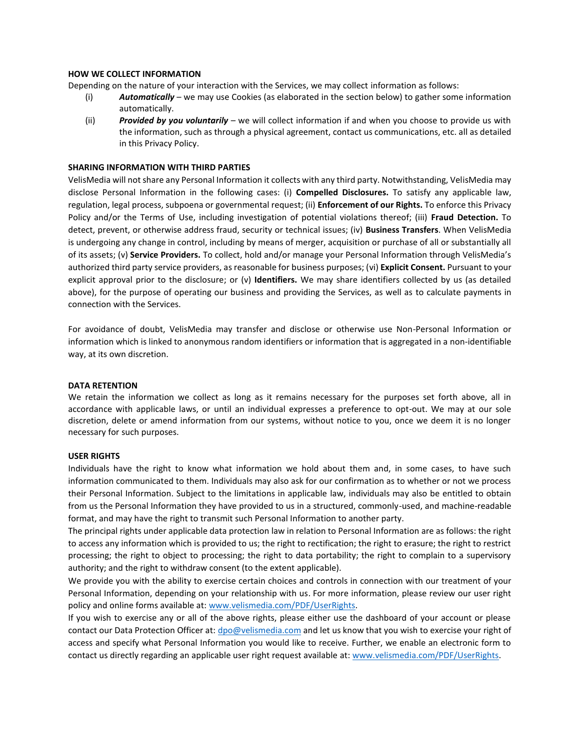### **HOW WE COLLECT INFORMATION**

Depending on the nature of your interaction with the Services, we may collect information as follows:

- (i) *Automatically* we may use Cookies (as elaborated in the section below) to gather some information automatically.
- (ii) *Provided by you voluntarily* we will collect information if and when you choose to provide us with the information, such as through a physical agreement, contact us communications, etc. all as detailed in this Privacy Policy.

### **SHARING INFORMATION WITH THIRD PARTIES**

VelisMedia will not share any Personal Information it collects with any third party. Notwithstanding, VelisMedia may disclose Personal Information in the following cases: (i) **Compelled Disclosures.** To satisfy any applicable law, regulation, legal process, subpoena or governmental request; (ii) **Enforcement of our Rights.** To enforce this Privacy Policy and/or the Terms of Use, including investigation of potential violations thereof; (iii) **Fraud Detection.** To detect, prevent, or otherwise address fraud, security or technical issues; (iv) **Business Transfers**. When VelisMedia is undergoing any change in control, including by means of merger, acquisition or purchase of all or substantially all of its assets; (v) **Service Providers.** To collect, hold and/or manage your Personal Information through VelisMedia's authorized third party service providers, as reasonable for business purposes; (vi) **Explicit Consent.** Pursuant to your explicit approval prior to the disclosure; or (v) **Identifiers.** We may share identifiers collected by us (as detailed above), for the purpose of operating our business and providing the Services, as well as to calculate payments in connection with the Services.

For avoidance of doubt, VelisMedia may transfer and disclose or otherwise use Non-Personal Information or information which is linked to anonymous random identifiers or information that is aggregated in a non-identifiable way, at its own discretion.

### **DATA RETENTION**

We retain the information we collect as long as it remains necessary for the purposes set forth above, all in accordance with applicable laws, or until an individual expresses a preference to opt-out. We may at our sole discretion, delete or amend information from our systems, without notice to you, once we deem it is no longer necessary for such purposes.

### **USER RIGHTS**

Individuals have the right to know what information we hold about them and, in some cases, to have such information communicated to them. Individuals may also ask for our confirmation as to whether or not we process their Personal Information. Subject to the limitations in applicable law, individuals may also be entitled to obtain from us the Personal Information they have provided to us in a structured, commonly-used, and machine-readable format, and may have the right to transmit such Personal Information to another party.

The principal rights under applicable data protection law in relation to Personal Information are as follows: the right to access any information which is provided to us; the right to rectification; the right to erasure; the right to restrict processing; the right to object to processing; the right to data portability; the right to complain to a supervisory authority; and the right to withdraw consent (to the extent applicable).

We provide you with the ability to exercise certain choices and controls in connection with our treatment of your Personal Information, depending on your relationship with us. For more information, please review our user right policy and online forms available at[: www.velismedia.com/PDF/UserRights.](http://www.velismedia.com/PDF/UserRights) 

If you wish to exercise any or all of the above rights, please either use the dashboard of your account or please contact our Data Protection Officer at: [dpo@velismedia.com](mailto:dpo@velismedia.com) and let us know that you wish to exercise your right of access and specify what Personal Information you would like to receive. Further, we enable an electronic form to contact us directly regarding an applicable user right request available at: [www.velismedia.com/PDF/UserRights.](http://www.velismedia.com/PDF/UserRights)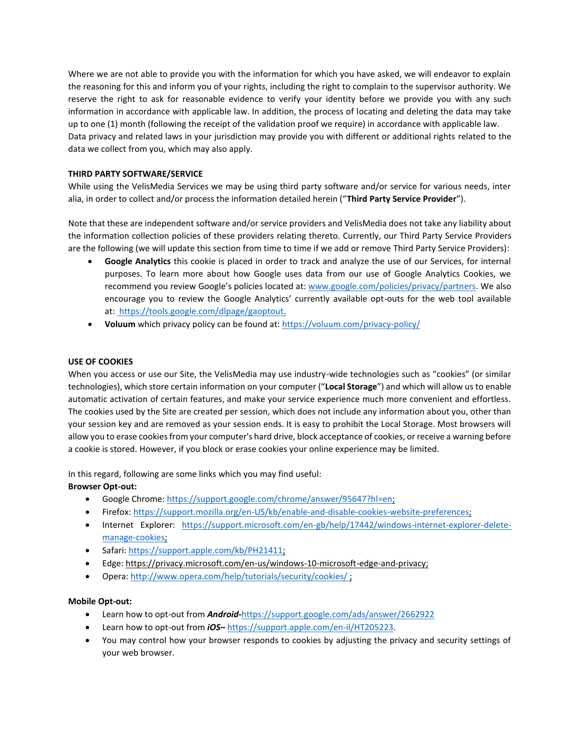Where we are not able to provide you with the information for which you have asked, we will endeavor to explain the reasoning for this and inform you of your rights, including the right to complain to the supervisor authority. We reserve the right to ask for reasonable evidence to verify your identity before we provide you with any such information in accordance with applicable law. In addition, the process of locating and deleting the data may take up to one (1) month (following the receipt of the validation proof we require) in accordance with applicable law. Data privacy and related laws in your jurisdiction may provide you with different or additional rights related to the data we collect from you, which may also apply.

## **THIRD PARTY SOFTWARE/SERVICE**

While using the VelisMedia Services we may be using third party software and/or service for various needs, inter alia, in order to collect and/or process the information detailed herein ("**Third Party Service Provider**").

Note that these are independent software and/or service providers and VelisMedia does not take any liability about the information collection policies of these providers relating thereto. Currently, our Third Party Service Providers are the following (we will update this section from time to time if we add or remove Third Party Service Providers):

- **Google Analytics** this cookie is placed in order to track and analyze the use of our Services, for internal purposes. To learn more about how Google uses data from our use of Google Analytics Cookies, we recommend you review Google's policies located at: [www.google.com/policies/privacy/partners.](http://www.google.com/policies/privacy/partners) We also encourage you to review the Google Analytics' currently available opt-outs for the web tool available at: [https://tools.google.com/dlpage/gaoptout.](https://tools.google.com/dlpage/gaoptout/)
- **Voluum** which privacy policy can be found at:<https://voluum.com/privacy-policy/>

### **USE OF COOKIES**

When you access or use our Site, the VelisMedia may use industry-wide technologies such as "cookies" (or similar technologies), which store certain information on your computer ("**Local Storage**") and which will allow us to enable automatic activation of certain features, and make your service experience much more convenient and effortless. The cookies used by the Site are created per session, which does not include any information about you, other than your session key and are removed as your session ends. It is easy to prohibit the Local Storage. Most browsers will allow you to erase cookies from your computer's hard drive, block acceptance of cookies, or receive a warning before a cookie is stored. However, if you block or erase cookies your online experience may be limited.

In this regard, following are some links which you may find useful:

## **Browser Opt-out:**

- Google Chrome[: https://support.google.com/chrome/answer/95647?hl=en;](https://support.google.com/chrome/answer/95647?hl=en)
- Firefox: [https://support.mozilla.org/en-US/kb/enable-and-disable-cookies-website-preferences;](https://support.mozilla.org/en-US/kb/enable-and-disable-cookies-website-preferences)
- Internet Explorer: [https://support.microsoft.com/en-gb/help/17442/windows-internet-explorer-delete](https://support.microsoft.com/en-gb/help/17442/windows-internet-explorer-delete-manage-cookies)[manage-cookies;](https://support.microsoft.com/en-gb/help/17442/windows-internet-explorer-delete-manage-cookies)
- Safari: [https://support.apple.com/kb/PH21411;](https://support.apple.com/kb/PH21411)
- Edge: https://privacy.microsoft.com/en-us/windows-10-microsoft-edge-and-privacy;
- Opera: [http://www.opera.com/help/tutorials/security/cookies/ ;](http://www.opera.com/help/tutorials/security/cookies/%20(Opera))

## **Mobile Opt-out:**

- Learn how to opt-out from *Android-*<https://support.google.com/ads/answer/2662922>
- Learn how to opt-out from *iOS–* [https://support.apple.com/en-il/HT205223.](https://support.apple.com/en-il/HT205223)
- You may control how your browser responds to cookies by adjusting the privacy and security settings of your web browser.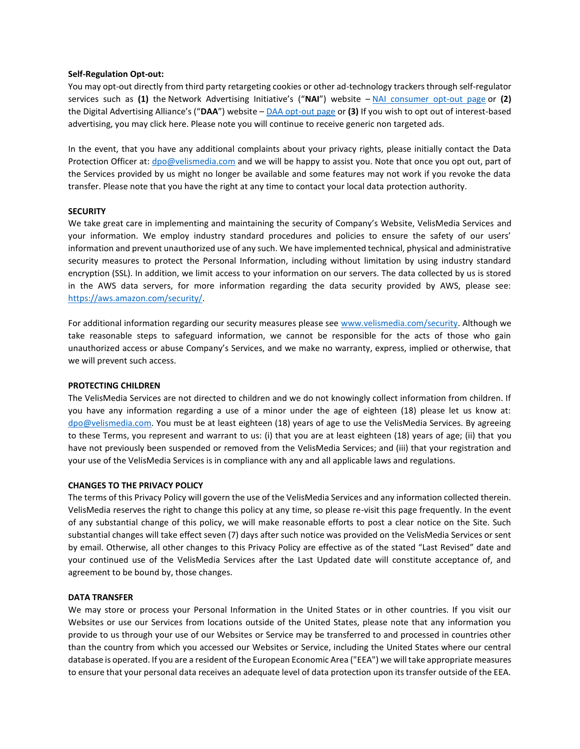#### **Self-Regulation Opt-out:**

You may opt-out directly from third party retargeting cookies or other ad-technology trackers through self-regulator services such as **(1)** the Network Advertising Initiative's ("**NAI**") website – [NAI consumer opt-out page](http://www.networkadvertising.org/choices/) or **(2)** the Digital Advertising Alliance's ("**DAA**") website – [DAA opt-out page](http://www.aboutads.info/) or **(3)** If you wish to opt out of interest-based advertising, you may click here. Please note you will continue to receive generic non targeted ads.

In the event, that you have any additional complaints about your privacy rights, please initially contact the Data Protection Officer at[: dpo@velismedia.com](mailto:dpo@velismedia.com) and we will be happy to assist you. Note that once you opt out, part of the Services provided by us might no longer be available and some features may not work if you revoke the data transfer. Please note that you have the right at any time to contact your local data protection authority.

### **SECURITY**

We take great care in implementing and maintaining the security of Company's Website, VelisMedia Services and your information. We employ industry standard procedures and policies to ensure the safety of our users' information and prevent unauthorized use of any such. We have implemented technical, physical and administrative security measures to protect the Personal Information, including without limitation by using industry standard encryption (SSL). In addition, we limit access to your information on our servers. The data collected by us is stored in the AWS data servers, for more information regarding the data security provided by AWS, please see: [https://aws.amazon.com/security/.](https://aws.amazon.com/security/)

For additional information regarding our security measures please see [www.velismedia.com/security.](http://www.velismedia.com/security) Although we take reasonable steps to safeguard information, we cannot be responsible for the acts of those who gain unauthorized access or abuse Company's Services, and we make no warranty, express, implied or otherwise, that we will prevent such access.

### **PROTECTING CHILDREN**

The VelisMedia Services are not directed to children and we do not knowingly collect information from children. If you have any information regarding a use of a minor under the age of eighteen (18) please let us know at: [dpo@velismedia.com.](mailto:dpo@velismedia.com) You must be at least eighteen (18) years of age to use the VelisMedia Services. By agreeing to these Terms, you represent and warrant to us: (i) that you are at least eighteen (18) years of age; (ii) that you have not previously been suspended or removed from the VelisMedia Services; and (iii) that your registration and your use of the VelisMedia Services is in compliance with any and all applicable laws and regulations.

### **CHANGES TO THE PRIVACY POLICY**

The terms of this Privacy Policy will govern the use of the VelisMedia Services and any information collected therein. VelisMedia reserves the right to change this policy at any time, so please re-visit this page frequently. In the event of any substantial change of this policy, we will make reasonable efforts to post a clear notice on the Site. Such substantial changes will take effect seven (7) days after such notice was provided on the VelisMedia Services or sent by email. Otherwise, all other changes to this Privacy Policy are effective as of the stated "Last Revised" date and your continued use of the VelisMedia Services after the Last Updated date will constitute acceptance of, and agreement to be bound by, those changes.

#### **DATA TRANSFER**

We may store or process your Personal Information in the United States or in other countries. If you visit our Websites or use our Services from locations outside of the United States, please note that any information you provide to us through your use of our Websites or Service may be transferred to and processed in countries other than the country from which you accessed our Websites or Service, including the United States where our central database is operated. If you are a resident of the European Economic Area ("EEA") we will take appropriate measures to ensure that your personal data receives an adequate level of data protection upon its transfer outside of the EEA.